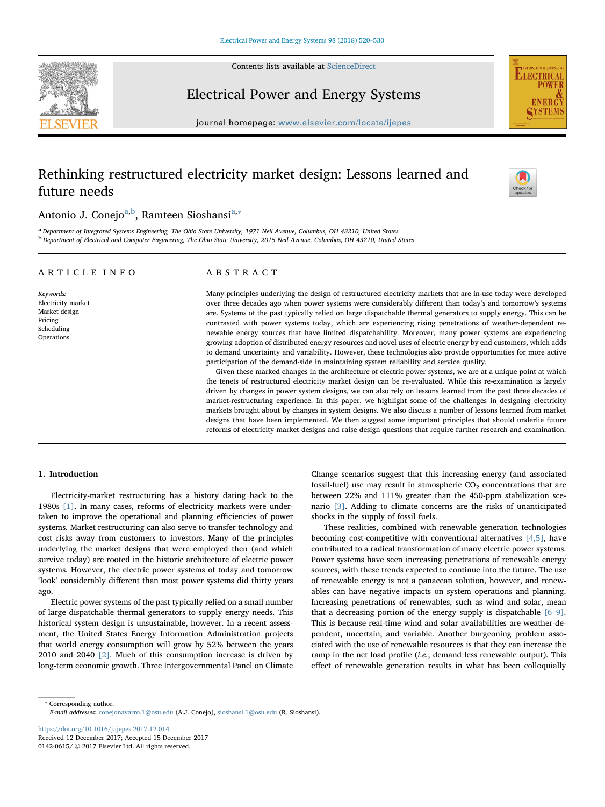Contents lists available at [ScienceDirect](http://www.sciencedirect.com/science/journal/01420615)



# **ELECTRICAL**

## Electrical Power and Energy Systems

journal homepage: [www.elsevier.com/locate/ijepes](https://www.elsevier.com/locate/ijepes)

## Rethinking restructured electricity market design: Lessons learned and future needs



### Antonio J. Conejo<sup>a,b</sup>, Ramteen Sioshansi<sup>a,\*</sup>

<sup>a</sup> Department of Integrated Systems Engineering, The Ohio State University, 1971 Neil Avenue, Columbus, OH 43210, United States <sup>b</sup> Department of Electrical and Computer Engineering, The Ohio State University, 2015 Neil Avenue, Columbus, OH 43210, United States

#### ARTICLE INFO

Keywords: Electricity market Market design Pricing Scheduling Operations

#### ABSTRACT

Many principles underlying the design of restructured electricity markets that are in-use today were developed over three decades ago when power systems were considerably different than today's and tomorrow's systems are. Systems of the past typically relied on large dispatchable thermal generators to supply energy. This can be contrasted with power systems today, which are experiencing rising penetrations of weather-dependent renewable energy sources that have limited dispatchability. Moreover, many power systems are experiencing growing adoption of distributed energy resources and novel uses of electric energy by end customers, which adds to demand uncertainty and variability. However, these technologies also provide opportunities for more active participation of the demand-side in maintaining system reliability and service quality.

Given these marked changes in the architecture of electric power systems, we are at a unique point at which the tenets of restructured electricity market design can be re-evaluated. While this re-examination is largely driven by changes in power system designs, we can also rely on lessons learned from the past three decades of market-restructuring experience. In this paper, we highlight some of the challenges in designing electricity markets brought about by changes in system designs. We also discuss a number of lessons learned from market designs that have been implemented. We then suggest some important principles that should underlie future reforms of electricity market designs and raise design questions that require further research and examination.

#### 1. Introduction

Electricity-market restructuring has a history dating back to the 1980s [1]. In many cases, reforms of electricity markets were undertaken to improve the operational and planning efficiencies of power systems. Market restructuring can also serve to transfer technology and cost risks away from customers to investors. Many of the principles underlying the market designs that were employed then (and which survive today) are rooted in the historic architecture of electric power systems. However, the electric power systems of today and tomorrow 'look' considerably different than most power systems did thirty years ago.

Electric power systems of the past typically relied on a small number of large dispatchable thermal generators to supply energy needs. This historical system design is unsustainable, however. In a recent assessment, the United States Energy Information Administration projects that world energy consumption will grow by 52% between the years 2010 and 2040 [2]. Much of this consumption increase is driven by long-term economic growth. Three Intergovernmental Panel on Climate

Change scenarios suggest that this increasing energy (and associated fossil-fuel) use may result in atmospheric  $CO<sub>2</sub>$  concentrations that are between 22% and 111% greater than the 450-ppm stabilization scenario [3]. Adding to climate concerns are the risks of unanticipated shocks in the supply of fossil fuels.

These realities, combined with renewable generation technologies becoming cost-competitive with conventional alternatives [4,5], have contributed to a radical transformation of many electric power systems. Power systems have seen increasing penetrations of renewable energy sources, with these trends expected to continue into the future. The use of renewable energy is not a panacean solution, however, and renewables can have negative impacts on system operations and planning. Increasing penetrations of renewables, such as wind and solar, mean that a decreasing portion of the energy supply is dispatchable [6–9]. This is because real-time wind and solar availabilities are weather-dependent, uncertain, and variable. Another burgeoning problem associated with the use of renewable resources is that they can increase the ramp in the net load profile (i.e., demand less renewable output). This effect of renewable generation results in what has been colloquially

<https://doi.org/10.1016/j.ijepes.2017.12.014> Received 12 December 2017; Accepted 15 December 2017 0142-0615/ © 2017 Elsevier Ltd. All rights reserved.

<sup>⁎</sup> Corresponding author. E-mail addresses: [conejonavarro.1@osu.edu](mailto:conejonavarro.1@osu.edu) (A.J. Conejo), [sioshansi.1@osu.edu](mailto:sioshansi.1@osu.edu) (R. Sioshansi).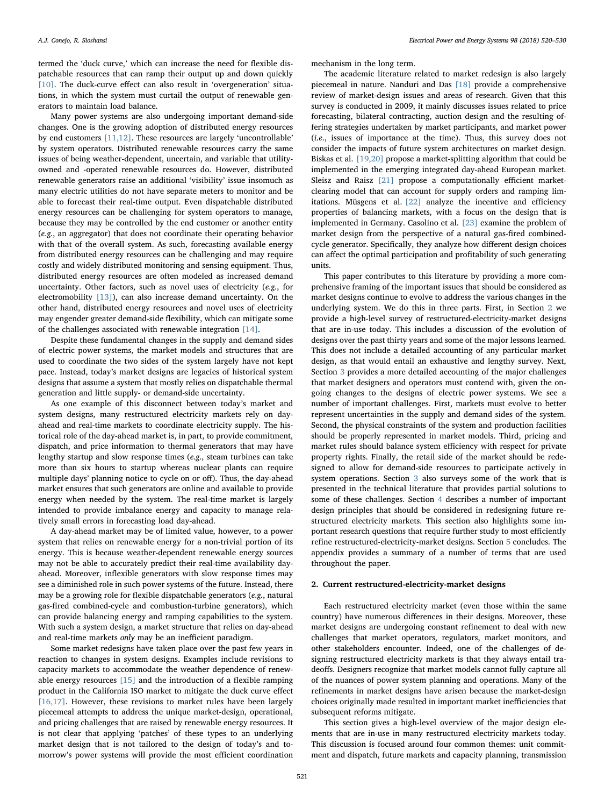termed the 'duck curve,' which can increase the need for flexible dispatchable resources that can ramp their output up and down quickly [10]. The duck-curve effect can also result in 'overgeneration' situations, in which the system must curtail the output of renewable generators to maintain load balance.

Many power systems are also undergoing important demand-side changes. One is the growing adoption of distributed energy resources by end customers [11,12]. These resources are largely 'uncontrollable' by system operators. Distributed renewable resources carry the same issues of being weather-dependent, uncertain, and variable that utilityowned and -operated renewable resources do. However, distributed renewable generators raise an additional 'visibility' issue insomuch as many electric utilities do not have separate meters to monitor and be able to forecast their real-time output. Even dispatchable distributed energy resources can be challenging for system operators to manage, because they may be controlled by the end customer or another entity (e.g., an aggregator) that does not coordinate their operating behavior with that of the overall system. As such, forecasting available energy from distributed energy resources can be challenging and may require costly and widely distributed monitoring and sensing equipment. Thus, distributed energy resources are often modeled as increased demand uncertainty. Other factors, such as novel uses of electricity (e.g., for electromobility [13]), can also increase demand uncertainty. On the other hand, distributed energy resources and novel uses of electricity may engender greater demand-side flexibility, which can mitigate some of the challenges associated with renewable integration [14].

Despite these fundamental changes in the supply and demand sides of electric power systems, the market models and structures that are used to coordinate the two sides of the system largely have not kept pace. Instead, today's market designs are legacies of historical system designs that assume a system that mostly relies on dispatchable thermal generation and little supply- or demand-side uncertainty.

As one example of this disconnect between today's market and system designs, many restructured electricity markets rely on dayahead and real-time markets to coordinate electricity supply. The historical role of the day-ahead market is, in part, to provide commitment, dispatch, and price information to thermal generators that may have lengthy startup and slow response times (e.g., steam turbines can take more than six hours to startup whereas nuclear plants can require multiple days' planning notice to cycle on or off). Thus, the day-ahead market ensures that such generators are online and available to provide energy when needed by the system. The real-time market is largely intended to provide imbalance energy and capacity to manage relatively small errors in forecasting load day-ahead.

A day-ahead market may be of limited value, however, to a power system that relies on renewable energy for a non-trivial portion of its energy. This is because weather-dependent renewable energy sources may not be able to accurately predict their real-time availability dayahead. Moreover, inflexible generators with slow response times may see a diminished role in such power systems of the future. Instead, there may be a growing role for flexible dispatchable generators (e.g., natural gas-fired combined-cycle and combustion-turbine generators), which can provide balancing energy and ramping capabilities to the system. With such a system design, a market structure that relies on day-ahead and real-time markets only may be an inefficient paradigm.

Some market redesigns have taken place over the past few years in reaction to changes in system designs. Examples include revisions to capacity markets to accommodate the weather dependence of renewable energy resources [15] and the introduction of a flexible ramping product in the California ISO market to mitigate the duck curve effect [16,17]. However, these revisions to market rules have been largely piecemeal attempts to address the unique market-design, operational, and pricing challenges that are raised by renewable energy resources. It is not clear that applying 'patches' of these types to an underlying market design that is not tailored to the design of today's and tomorrow's power systems will provide the most efficient coordination mechanism in the long term.

The academic literature related to market redesign is also largely piecemeal in nature. Nanduri and Das [18] provide a comprehensive review of market-design issues and areas of research. Given that this survey is conducted in 2009, it mainly discusses issues related to price forecasting, bilateral contracting, auction design and the resulting offering strategies undertaken by market participants, and market power (i.e., issues of importance at the time). Thus, this survey does not consider the impacts of future system architectures on market design. Biskas et al. [19,20] propose a market-splitting algorithm that could be implemented in the emerging integrated day-ahead European market. Sleisz and Raisz [21] propose a computationally efficient marketclearing model that can account for supply orders and ramping limitations. Müsgens et al. [22] analyze the incentive and efficiency properties of balancing markets, with a focus on the design that is implemented in Germany. Casolino et al. [23] examine the problem of market design from the perspective of a natural gas-fired combinedcycle generator. Specifically, they analyze how different design choices can affect the optimal participation and profitability of such generating units.

This paper contributes to this literature by providing a more comprehensive framing of the important issues that should be considered as market designs continue to evolve to address the various changes in the underlying system. We do this in three parts. First, in Section 2 we provide a high-level survey of restructured-electricity-market designs that are in-use today. This includes a discussion of the evolution of designs over the past thirty years and some of the major lessons learned. This does not include a detailed accounting of any particular market design, as that would entail an exhaustive and lengthy survey. Next, Section 3 provides a more detailed accounting of the major challenges that market designers and operators must contend with, given the ongoing changes to the designs of electric power systems. We see a number of important challenges. First, markets must evolve to better represent uncertainties in the supply and demand sides of the system. Second, the physical constraints of the system and production facilities should be properly represented in market models. Third, pricing and market rules should balance system efficiency with respect for private property rights. Finally, the retail side of the market should be redesigned to allow for demand-side resources to participate actively in system operations. Section 3 also surveys some of the work that is presented in the technical literature that provides partial solutions to some of these challenges. Section 4 describes a number of important design principles that should be considered in redesigning future restructured electricity markets. This section also highlights some important research questions that require further study to most efficiently refine restructured-electricity-market designs. Section 5 concludes. The appendix provides a summary of a number of terms that are used throughout the paper.

#### 2. Current restructured-electricity-market designs

Each restructured electricity market (even those within the same country) have numerous differences in their designs. Moreover, these market designs are undergoing constant refinement to deal with new challenges that market operators, regulators, market monitors, and other stakeholders encounter. Indeed, one of the challenges of designing restructured electricity markets is that they always entail tradeoffs. Designers recognize that market models cannot fully capture all of the nuances of power system planning and operations. Many of the refinements in market designs have arisen because the market-design choices originally made resulted in important market inefficiencies that subsequent reforms mitigate.

This section gives a high-level overview of the major design elements that are in-use in many restructured electricity markets today. This discussion is focused around four common themes: unit commitment and dispatch, future markets and capacity planning, transmission